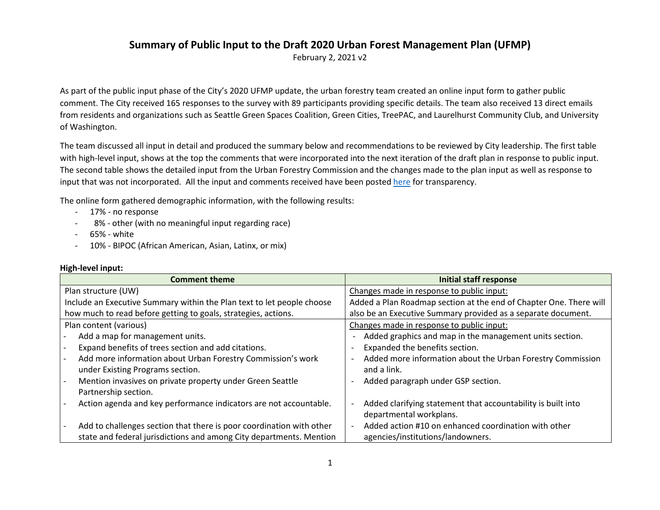## **Summary of Public Input to the Draft 2020 Urban Forest Management Plan (UFMP)**

February 2, 2021 v2

As part of the public input phase of the City's 2020 UFMP update, the urban forestry team created an online input form to gather public comment. The City received 165 responses to the survey with 89 participants providing specific details. The team also received 13 direct emails from residents and organizations such as Seattle Green Spaces Coalition, Green Cities, TreePAC, and Laurelhurst Community Club, and University of Washington.

The team discussed all input in detail and produced the summary below and recommendations to be reviewed by City leadership. The first table with high-level input, shows at the top the comments that were incorporated into the next iteration of the draft plan in response to public input. The second table shows the detailed input from the Urban Forestry Commission and the changes made to the plan input as well as response to input that was not incorporated. All the input and comments received have been posted [here](http://www.seattle.gov/urbanforestrycommission/resources) for transparency.

The online form gathered demographic information, with the following results:

- 17% no response
- 8% other (with no meaningful input regarding race)
- 65% white
- 10% BIPOC (African American, Asian, Latinx, or mix)

| <b>Comment theme</b>                                                   | <b>Initial staff response</b>                                                          |
|------------------------------------------------------------------------|----------------------------------------------------------------------------------------|
| Plan structure (UW)                                                    | Changes made in response to public input:                                              |
| Include an Executive Summary within the Plan text to let people choose | Added a Plan Roadmap section at the end of Chapter One. There will                     |
| how much to read before getting to goals, strategies, actions.         | also be an Executive Summary provided as a separate document.                          |
| Plan content (various)                                                 | Changes made in response to public input:                                              |
| Add a map for management units.                                        | Added graphics and map in the management units section.                                |
| Expand benefits of trees section and add citations.                    | Expanded the benefits section.                                                         |
| Add more information about Urban Forestry Commission's work            | Added more information about the Urban Forestry Commission<br>$\overline{\phantom{0}}$ |
| under Existing Programs section.                                       | and a link.                                                                            |
| Mention invasives on private property under Green Seattle              | Added paragraph under GSP section.                                                     |
| Partnership section.                                                   |                                                                                        |
| Action agenda and key performance indicators are not accountable.      | Added clarifying statement that accountability is built into                           |
|                                                                        | departmental workplans.                                                                |
| Add to challenges section that there is poor coordination with other   | Added action #10 on enhanced coordination with other                                   |
| state and federal jurisdictions and among City departments. Mention    | agencies/institutions/landowners.                                                      |

## **High-level input:**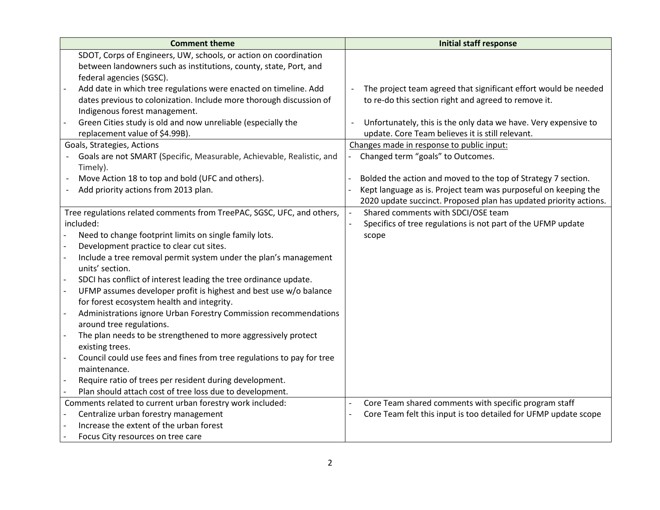| <b>Comment theme</b>                                                                                                                                                                                                                                                                                                                                                                                                                                                                                                                                                                                                                                                                                                                                                           | <b>Initial staff response</b>                                                                                                              |
|--------------------------------------------------------------------------------------------------------------------------------------------------------------------------------------------------------------------------------------------------------------------------------------------------------------------------------------------------------------------------------------------------------------------------------------------------------------------------------------------------------------------------------------------------------------------------------------------------------------------------------------------------------------------------------------------------------------------------------------------------------------------------------|--------------------------------------------------------------------------------------------------------------------------------------------|
| SDOT, Corps of Engineers, UW, schools, or action on coordination                                                                                                                                                                                                                                                                                                                                                                                                                                                                                                                                                                                                                                                                                                               |                                                                                                                                            |
| between landowners such as institutions, county, state, Port, and                                                                                                                                                                                                                                                                                                                                                                                                                                                                                                                                                                                                                                                                                                              |                                                                                                                                            |
| federal agencies (SGSC).                                                                                                                                                                                                                                                                                                                                                                                                                                                                                                                                                                                                                                                                                                                                                       |                                                                                                                                            |
| Add date in which tree regulations were enacted on timeline. Add                                                                                                                                                                                                                                                                                                                                                                                                                                                                                                                                                                                                                                                                                                               | The project team agreed that significant effort would be needed                                                                            |
| dates previous to colonization. Include more thorough discussion of                                                                                                                                                                                                                                                                                                                                                                                                                                                                                                                                                                                                                                                                                                            | to re-do this section right and agreed to remove it.                                                                                       |
| Indigenous forest management.                                                                                                                                                                                                                                                                                                                                                                                                                                                                                                                                                                                                                                                                                                                                                  |                                                                                                                                            |
| Green Cities study is old and now unreliable (especially the                                                                                                                                                                                                                                                                                                                                                                                                                                                                                                                                                                                                                                                                                                                   | Unfortunately, this is the only data we have. Very expensive to                                                                            |
| replacement value of \$4.99B).                                                                                                                                                                                                                                                                                                                                                                                                                                                                                                                                                                                                                                                                                                                                                 | update. Core Team believes it is still relevant.                                                                                           |
| Goals, Strategies, Actions                                                                                                                                                                                                                                                                                                                                                                                                                                                                                                                                                                                                                                                                                                                                                     | Changes made in response to public input:                                                                                                  |
| Goals are not SMART (Specific, Measurable, Achievable, Realistic, and                                                                                                                                                                                                                                                                                                                                                                                                                                                                                                                                                                                                                                                                                                          | Changed term "goals" to Outcomes.                                                                                                          |
| Timely).                                                                                                                                                                                                                                                                                                                                                                                                                                                                                                                                                                                                                                                                                                                                                                       |                                                                                                                                            |
| Move Action 18 to top and bold (UFC and others).                                                                                                                                                                                                                                                                                                                                                                                                                                                                                                                                                                                                                                                                                                                               | Bolded the action and moved to the top of Strategy 7 section.                                                                              |
| Add priority actions from 2013 plan.                                                                                                                                                                                                                                                                                                                                                                                                                                                                                                                                                                                                                                                                                                                                           | Kept language as is. Project team was purposeful on keeping the                                                                            |
|                                                                                                                                                                                                                                                                                                                                                                                                                                                                                                                                                                                                                                                                                                                                                                                | 2020 update succinct. Proposed plan has updated priority actions.                                                                          |
| Tree regulations related comments from TreePAC, SGSC, UFC, and others,                                                                                                                                                                                                                                                                                                                                                                                                                                                                                                                                                                                                                                                                                                         | Shared comments with SDCI/OSE team                                                                                                         |
| included:                                                                                                                                                                                                                                                                                                                                                                                                                                                                                                                                                                                                                                                                                                                                                                      | Specifics of tree regulations is not part of the UFMP update                                                                               |
| Need to change footprint limits on single family lots.                                                                                                                                                                                                                                                                                                                                                                                                                                                                                                                                                                                                                                                                                                                         | scope                                                                                                                                      |
| Development practice to clear cut sites.                                                                                                                                                                                                                                                                                                                                                                                                                                                                                                                                                                                                                                                                                                                                       |                                                                                                                                            |
| Include a tree removal permit system under the plan's management                                                                                                                                                                                                                                                                                                                                                                                                                                                                                                                                                                                                                                                                                                               |                                                                                                                                            |
| units' section.                                                                                                                                                                                                                                                                                                                                                                                                                                                                                                                                                                                                                                                                                                                                                                |                                                                                                                                            |
|                                                                                                                                                                                                                                                                                                                                                                                                                                                                                                                                                                                                                                                                                                                                                                                |                                                                                                                                            |
|                                                                                                                                                                                                                                                                                                                                                                                                                                                                                                                                                                                                                                                                                                                                                                                |                                                                                                                                            |
|                                                                                                                                                                                                                                                                                                                                                                                                                                                                                                                                                                                                                                                                                                                                                                                |                                                                                                                                            |
|                                                                                                                                                                                                                                                                                                                                                                                                                                                                                                                                                                                                                                                                                                                                                                                |                                                                                                                                            |
|                                                                                                                                                                                                                                                                                                                                                                                                                                                                                                                                                                                                                                                                                                                                                                                |                                                                                                                                            |
|                                                                                                                                                                                                                                                                                                                                                                                                                                                                                                                                                                                                                                                                                                                                                                                |                                                                                                                                            |
|                                                                                                                                                                                                                                                                                                                                                                                                                                                                                                                                                                                                                                                                                                                                                                                |                                                                                                                                            |
|                                                                                                                                                                                                                                                                                                                                                                                                                                                                                                                                                                                                                                                                                                                                                                                |                                                                                                                                            |
|                                                                                                                                                                                                                                                                                                                                                                                                                                                                                                                                                                                                                                                                                                                                                                                |                                                                                                                                            |
|                                                                                                                                                                                                                                                                                                                                                                                                                                                                                                                                                                                                                                                                                                                                                                                |                                                                                                                                            |
|                                                                                                                                                                                                                                                                                                                                                                                                                                                                                                                                                                                                                                                                                                                                                                                |                                                                                                                                            |
|                                                                                                                                                                                                                                                                                                                                                                                                                                                                                                                                                                                                                                                                                                                                                                                |                                                                                                                                            |
|                                                                                                                                                                                                                                                                                                                                                                                                                                                                                                                                                                                                                                                                                                                                                                                |                                                                                                                                            |
|                                                                                                                                                                                                                                                                                                                                                                                                                                                                                                                                                                                                                                                                                                                                                                                |                                                                                                                                            |
| SDCI has conflict of interest leading the tree ordinance update.<br>UFMP assumes developer profit is highest and best use w/o balance<br>for forest ecosystem health and integrity.<br>Administrations ignore Urban Forestry Commission recommendations<br>around tree regulations.<br>The plan needs to be strengthened to more aggressively protect<br>existing trees.<br>Council could use fees and fines from tree regulations to pay for tree<br>maintenance.<br>Require ratio of trees per resident during development.<br>Plan should attach cost of tree loss due to development.<br>Comments related to current urban forestry work included:<br>Centralize urban forestry management<br>Increase the extent of the urban forest<br>Focus City resources on tree care | Core Team shared comments with specific program staff<br>$\blacksquare$<br>Core Team felt this input is too detailed for UFMP update scope |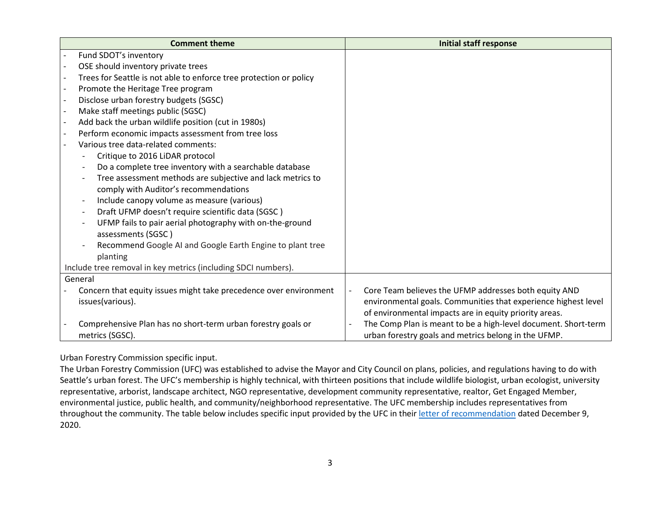| <b>Comment theme</b>                                                   | <b>Initial staff response</b>                                           |
|------------------------------------------------------------------------|-------------------------------------------------------------------------|
| Fund SDOT's inventory                                                  |                                                                         |
| OSE should inventory private trees                                     |                                                                         |
| Trees for Seattle is not able to enforce tree protection or policy     |                                                                         |
| Promote the Heritage Tree program                                      |                                                                         |
| Disclose urban forestry budgets (SGSC)                                 |                                                                         |
| Make staff meetings public (SGSC)                                      |                                                                         |
| Add back the urban wildlife position (cut in 1980s)                    |                                                                         |
| Perform economic impacts assessment from tree loss                     |                                                                         |
| Various tree data-related comments:                                    |                                                                         |
| Critique to 2016 LiDAR protocol                                        |                                                                         |
| Do a complete tree inventory with a searchable database                |                                                                         |
| Tree assessment methods are subjective and lack metrics to             |                                                                         |
| comply with Auditor's recommendations                                  |                                                                         |
| Include canopy volume as measure (various)<br>$\overline{\phantom{a}}$ |                                                                         |
| Draft UFMP doesn't require scientific data (SGSC)                      |                                                                         |
| UFMP fails to pair aerial photography with on-the-ground               |                                                                         |
| assessments (SGSC)                                                     |                                                                         |
| Recommend Google AI and Google Earth Engine to plant tree              |                                                                         |
| planting                                                               |                                                                         |
| Include tree removal in key metrics (including SDCI numbers).          |                                                                         |
| General                                                                |                                                                         |
| Concern that equity issues might take precedence over environment      | Core Team believes the UFMP addresses both equity AND<br>$\overline{a}$ |
| issues(various).                                                       | environmental goals. Communities that experience highest level          |
|                                                                        | of environmental impacts are in equity priority areas.                  |
| Comprehensive Plan has no short-term urban forestry goals or           | The Comp Plan is meant to be a high-level document. Short-term          |
| metrics (SGSC).                                                        | urban forestry goals and metrics belong in the UFMP.                    |

Urban Forestry Commission specific input.

The Urban Forestry Commission (UFC) was established to advise the Mayor and City Council on plans, policies, and regulations having to do with Seattle's urban forest. The UFC's membership is highly technical, with thirteen positions that include wildlife biologist, urban ecologist, university representative, arborist, landscape architect, NGO representative, development community representative, realtor, Get Engaged Member, environmental justice, public health, and community/neighborhood representative. The UFC membership includes representatives from throughout the community. The table below includes specific input provided by the UFC in thei[r letter of recommendation](http://www.seattle.gov/Documents/Departments/UrbanForestryCommission/FinalIssuedDocuments/WhatWeDo-Recomms/ADOPTED_2020UFMPcomments120920final.pdf) dated December 9, 2020.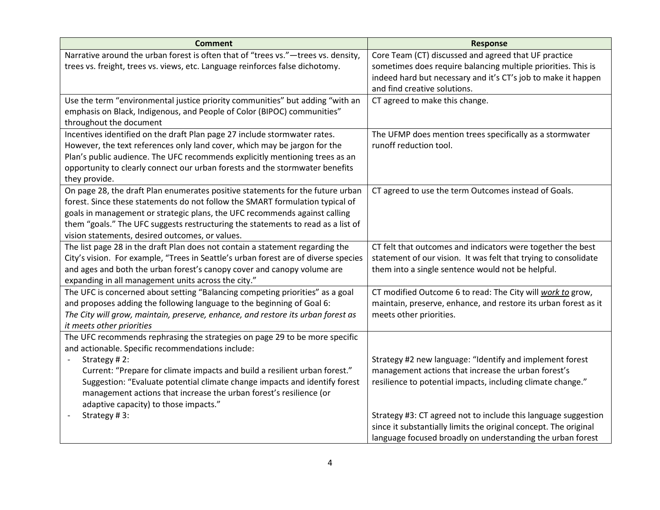| <b>Comment</b>                                                                      | <b>Response</b>                                                  |
|-------------------------------------------------------------------------------------|------------------------------------------------------------------|
| Narrative around the urban forest is often that of "trees vs."-trees vs. density,   | Core Team (CT) discussed and agreed that UF practice             |
| trees vs. freight, trees vs. views, etc. Language reinforces false dichotomy.       | sometimes does require balancing multiple priorities. This is    |
|                                                                                     | indeed hard but necessary and it's CT's job to make it happen    |
|                                                                                     | and find creative solutions.                                     |
| Use the term "environmental justice priority communities" but adding "with an       | CT agreed to make this change.                                   |
| emphasis on Black, Indigenous, and People of Color (BIPOC) communities"             |                                                                  |
| throughout the document                                                             |                                                                  |
| Incentives identified on the draft Plan page 27 include stormwater rates.           | The UFMP does mention trees specifically as a stormwater         |
| However, the text references only land cover, which may be jargon for the           | runoff reduction tool.                                           |
| Plan's public audience. The UFC recommends explicitly mentioning trees as an        |                                                                  |
| opportunity to clearly connect our urban forests and the stormwater benefits        |                                                                  |
| they provide.                                                                       |                                                                  |
| On page 28, the draft Plan enumerates positive statements for the future urban      | CT agreed to use the term Outcomes instead of Goals.             |
| forest. Since these statements do not follow the SMART formulation typical of       |                                                                  |
| goals in management or strategic plans, the UFC recommends against calling          |                                                                  |
| them "goals." The UFC suggests restructuring the statements to read as a list of    |                                                                  |
| vision statements, desired outcomes, or values.                                     |                                                                  |
| The list page 28 in the draft Plan does not contain a statement regarding the       | CT felt that outcomes and indicators were together the best      |
| City's vision. For example, "Trees in Seattle's urban forest are of diverse species | statement of our vision. It was felt that trying to consolidate  |
| and ages and both the urban forest's canopy cover and canopy volume are             | them into a single sentence would not be helpful.                |
| expanding in all management units across the city."                                 |                                                                  |
| The UFC is concerned about setting "Balancing competing priorities" as a goal       | CT modified Outcome 6 to read: The City will work to grow,       |
| and proposes adding the following language to the beginning of Goal 6:              | maintain, preserve, enhance, and restore its urban forest as it  |
| The City will grow, maintain, preserve, enhance, and restore its urban forest as    | meets other priorities.                                          |
| it meets other priorities                                                           |                                                                  |
| The UFC recommends rephrasing the strategies on page 29 to be more specific         |                                                                  |
| and actionable. Specific recommendations include:                                   |                                                                  |
| Strategy #2:                                                                        | Strategy #2 new language: "Identify and implement forest         |
| Current: "Prepare for climate impacts and build a resilient urban forest."          | management actions that increase the urban forest's              |
| Suggestion: "Evaluate potential climate change impacts and identify forest          | resilience to potential impacts, including climate change."      |
| management actions that increase the urban forest's resilience (or                  |                                                                  |
| adaptive capacity) to those impacts."                                               |                                                                  |
| Strategy #3:                                                                        | Strategy #3: CT agreed not to include this language suggestion   |
|                                                                                     | since it substantially limits the original concept. The original |
|                                                                                     | language focused broadly on understanding the urban forest       |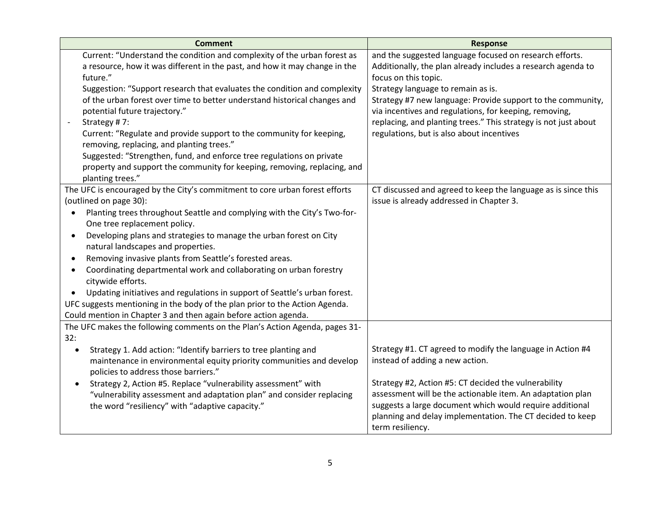| <b>Comment</b>                                                               | <b>Response</b>                                                 |
|------------------------------------------------------------------------------|-----------------------------------------------------------------|
| Current: "Understand the condition and complexity of the urban forest as     | and the suggested language focused on research efforts.         |
| a resource, how it was different in the past, and how it may change in the   | Additionally, the plan already includes a research agenda to    |
| future."                                                                     | focus on this topic.                                            |
| Suggestion: "Support research that evaluates the condition and complexity    | Strategy language to remain as is.                              |
| of the urban forest over time to better understand historical changes and    | Strategy #7 new language: Provide support to the community,     |
| potential future trajectory."                                                | via incentives and regulations, for keeping, removing,          |
| Strategy #7:                                                                 | replacing, and planting trees." This strategy is not just about |
| Current: "Regulate and provide support to the community for keeping,         | regulations, but is also about incentives                       |
| removing, replacing, and planting trees."                                    |                                                                 |
| Suggested: "Strengthen, fund, and enforce tree regulations on private        |                                                                 |
| property and support the community for keeping, removing, replacing, and     |                                                                 |
| planting trees."                                                             |                                                                 |
| The UFC is encouraged by the City's commitment to core urban forest efforts  | CT discussed and agreed to keep the language as is since this   |
| (outlined on page 30):                                                       | issue is already addressed in Chapter 3.                        |
| Planting trees throughout Seattle and complying with the City's Two-for-     |                                                                 |
| One tree replacement policy.                                                 |                                                                 |
| Developing plans and strategies to manage the urban forest on City           |                                                                 |
| natural landscapes and properties.                                           |                                                                 |
| Removing invasive plants from Seattle's forested areas.                      |                                                                 |
| Coordinating departmental work and collaborating on urban forestry           |                                                                 |
| citywide efforts.                                                            |                                                                 |
| Updating initiatives and regulations in support of Seattle's urban forest.   |                                                                 |
| UFC suggests mentioning in the body of the plan prior to the Action Agenda.  |                                                                 |
| Could mention in Chapter 3 and then again before action agenda.              |                                                                 |
| The UFC makes the following comments on the Plan's Action Agenda, pages 31-  |                                                                 |
| 32:                                                                          |                                                                 |
| Strategy 1. Add action: "Identify barriers to tree planting and<br>$\bullet$ | Strategy #1. CT agreed to modify the language in Action #4      |
| maintenance in environmental equity priority communities and develop         | instead of adding a new action.                                 |
| policies to address those barriers."                                         |                                                                 |
| Strategy 2, Action #5. Replace "vulnerability assessment" with               | Strategy #2, Action #5: CT decided the vulnerability            |
| "vulnerability assessment and adaptation plan" and consider replacing        | assessment will be the actionable item. An adaptation plan      |
| the word "resiliency" with "adaptive capacity."                              | suggests a large document which would require additional        |
|                                                                              | planning and delay implementation. The CT decided to keep       |
|                                                                              | term resiliency.                                                |